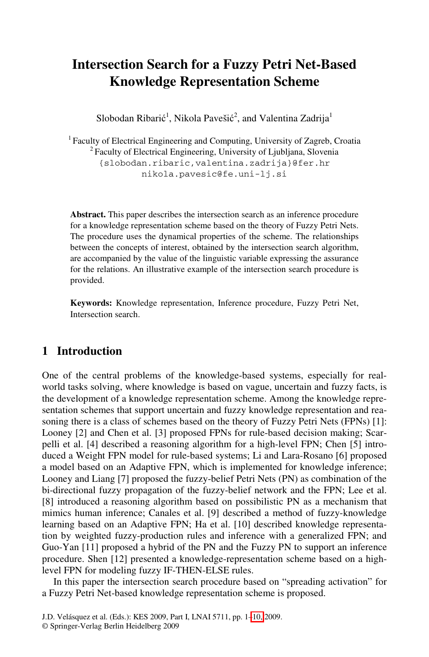# **Intersection Search for a Fuzzy Petri Net-Based Knowledge Representation Scheme**

Slobodan Ribarić<sup>1</sup>, Nikola Pavešić<sup>2</sup>, and Valentina Zadrija<sup>1</sup>

<sup>1</sup> Faculty of Electrical Engineering and Computing, University of Zagreb, Croatia <sup>2</sup> Faculty of Electrical Engineering, University of Ljubljana, Slovenia {slobodan.ribaric,valentina.zadrija}@fer.hr nikola.pavesic@fe.uni-lj.si

**Abstract.** This paper describes the intersection search as an inference procedure for a knowledge representation scheme based on the theory of Fuzzy Petri Nets. The procedure uses the dynamical properties of the scheme. The relationships between the concepts of interest, obtained by the intersection search algorithm, are accompanied by the value of the linguistic variable expressing the assurance for the relations. An illustrative example of the intersection search procedure is provided.

**Keywords:** Knowledge representation, Inference procedure, Fuzzy Petri Net, Intersection search.

# **1 Introduction**

One of the central problems of the knowledge-based systems, especially for realworld tasks solving, where knowledge is based on vague, uncertain and fuzzy facts, is the development of a knowledge representation scheme. Among the knowledge representation schemes that support uncertain and fuzzy knowledge representation and reasoning there is a class of schemes based on the theory of Fuzzy Petri Nets (FPNs) [1]: Looney [2] and Chen et al. [3] proposed FPNs for rule-based decision making; Scarpelli et al. [4] described a reasoning algorithm for a high-level FPN; Chen [5] introduced a Weight FPN model for rule-based systems; Li and Lara-Rosano [6] proposed a model based on an Adaptive FPN, which is implemented for knowledge inference; Looney and Liang [7] proposed the fuzzy-belief Petri Nets (PN) as combination of the bi-directional fuzzy propagation of the fuzzy-belief network and the FPN; Lee et al. [8] introduced a reasoning algorithm based on possibilistic PN as a mechanism that mimics human inference; Canales et al. [9] described a method of fuzzy-knowledge learning based on an Adaptive [FP](#page-9-0)N; Ha et al. [10] described knowledge representation by weighted fuzzy-production rules and inference with a generalized FPN; and Guo-Yan [11] proposed a hybrid of the PN and the Fuzzy PN to support an inference procedure. Shen [12] presented a knowledge-representation scheme based on a highlevel FPN for modeling fuzzy IF-THEN-ELSE rules.

In this paper the intersection search procedure based on "spreading activation" for a Fuzzy Petri Net-based knowledge representation scheme is proposed.

J.D. Velásquez et al. (Eds.): KES 2009, Part I, LNAI 5711, pp. 1–10, 2009. © Springer-Verlag Berlin Heidelberg 2009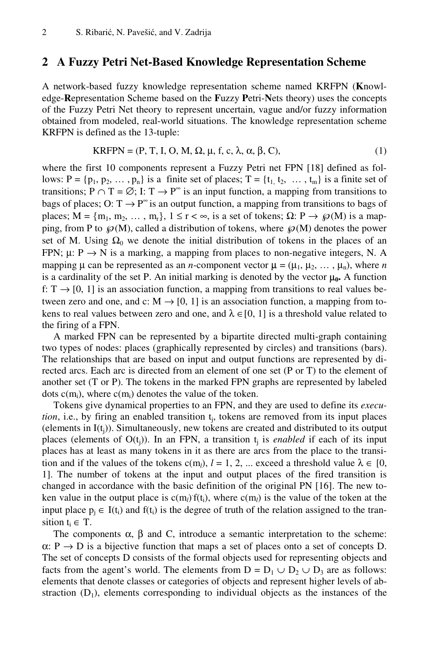#### **2 A Fuzzy Petri Net-Based Knowledge Representation Scheme**

A network-based fuzzy knowledge representation scheme named KRFPN (**K**nowledge-**R**epresentation Scheme based on the **F**uzzy **P**etri-**N**ets theory) uses the concepts of the Fuzzy Petri Net theory to represent uncertain, vague and/or fuzzy information obtained from modeled, real-world situations. The knowledge representation scheme KRFPN is defined as the 13-tuple:

$$
KRFPN = (P, T, I, O, M, \Omega, \mu, f, c, \lambda, \alpha, \beta, C),
$$
\n(1)

where the first 10 components represent a Fuzzy Petri net FPN [18] defined as follows:  $P = \{p_1, p_2, \dots, p_n\}$  is a finite set of places;  $T = \{t_1, t_2, \dots, t_m\}$  is a finite set of transitions;  $P \cap T = \emptyset$ ; I:  $T \to P^{\infty}$  is an input function, a mapping from transitions to bags of places; O:  $T \rightarrow P^{\infty}$  is an output function, a mapping from transitions to bags of places;  $M = \{m_1, m_2, \dots, m_r\}$ ,  $1 \le r < \infty$ , is a set of tokens;  $\Omega: P \to \wp(M)$  is a mapping, from P to  $\mathcal{P}(M)$ , called a distribution of tokens, where  $\mathcal{P}(M)$  denotes the power set of M. Using  $\Omega_0$  we denote the initial distribution of tokens in the places of an FPN;  $\mu$ : P  $\rightarrow$  N is a marking, a mapping from places to non-negative integers, N. A mapping  $\mu$  can be represented as an *n*-component vector  $\mu = (\mu_1, \mu_2, \dots, \mu_n)$ , where *n* is a cardinality of the set P. An initial marking is denoted by the vector  $\mu_0$ . A function f:  $T \rightarrow [0, 1]$  is an association function, a mapping from transitions to real values between zero and one, and c:  $M \rightarrow [0, 1]$  is an association function, a mapping from tokens to real values between zero and one, and  $\lambda \in [0, 1]$  is a threshold value related to the firing of a FPN.

A marked FPN can be represented by a bipartite directed multi-graph containing two types of nodes: places (graphically represented by circles) and transitions (bars). The relationships that are based on input and output functions are represented by directed arcs. Each arc is directed from an element of one set (P or T) to the element of another set (T or P). The tokens in the marked FPN graphs are represented by labeled dots  $c(m_i)$ , where  $c(m_i)$  denotes the value of the token.

Tokens give dynamical properties to an FPN, and they are used to define its *execution*, i.e., by firing an enabled transition t<sub>i</sub>, tokens are removed from its input places (elements in  $I(t_i)$ ). Simultaneously, new tokens are created and distributed to its output places (elements of  $O(t_i)$ ). In an FPN, a transition  $t_i$  is *enabled* if each of its input places has at least as many tokens in it as there are arcs from the place to the transition and if the values of the tokens c(m<sub>l</sub>),  $l = 1, 2, ...$  exceed a threshold value  $\lambda \in [0, 1]$ 1]. The number of tokens at the input and output places of the fired transition is changed in accordance with the basic definition of the original PN [16]. The new token value in the output place is  $c(m_l) f(t_i)$ , where  $c(m_l)$  is the value of the token at the input place  $p_i \in I(t_i)$  and  $f(t_i)$  is the degree of truth of the relation assigned to the transition  $t_i \in T$ .

The components  $\alpha$ ,  $\beta$  and C, introduce a semantic interpretation to the scheme:  $\alpha: P \to D$  is a bijective function that maps a set of places onto a set of concepts D. The set of concepts D consists of the formal objects used for representing objects and facts from the agent's world. The elements from  $D = D_1 \cup D_2 \cup D_3$  are as follows: elements that denote classes or categories of objects and represent higher levels of abstraction  $(D_1)$ , elements corresponding to individual objects as the instances of the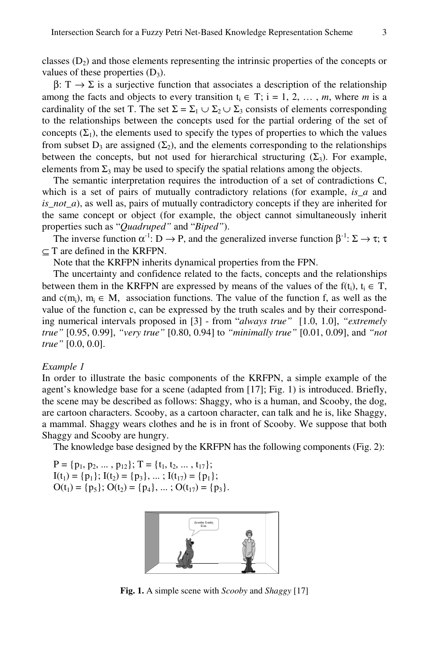classes  $(D_2)$  and those elements representing the intrinsic properties of the concepts or values of these properties  $(D_3)$ .

 $β: T \rightarrow Σ$  is a surjective function that associates a description of the relationship among the facts and objects to every transition  $t_i \in T$ ;  $i = 1, 2, ..., m$ , where *m* is a cardinality of the set T. The set  $\Sigma = \Sigma_1 \cup \Sigma_2 \cup \Sigma_3$  consists of elements corresponding to the relationships between the concepts used for the partial ordering of the set of concepts  $(\Sigma_1)$ , the elements used to specify the types of properties to which the values from subset  $D_3$  are assigned  $(\Sigma_2)$ , and the elements corresponding to the relationships between the concepts, but not used for hierarchical structuring  $(\Sigma_3)$ . For example, elements from  $\Sigma_3$  may be used to specify the spatial relations among the objects.

The semantic interpretation requires the introduction of a set of contradictions C, which is a set of pairs of mutually contradictory relations (for example, *is\_a* and *is\_not\_a*), as well as, pairs of mutually contradictory concepts if they are inherited for the same concept or object (for example, the object cannot simultaneously inherit properties such as "*Quadruped"* and "*Biped"*).

The inverse function  $\alpha^{-1}: D \to P$ , and the generalized inverse function  $\beta^{-1}: \Sigma \to \tau$ ;  $\tau$  $\subset$  T are defined in the KRFPN.

Note that the KRFPN inherits dynamical properties from the FPN.

The uncertainty and confidence related to the facts, concepts and the relationships between them in the KRFPN are expressed by means of the values of the f(t<sub>i</sub>), t<sub>i</sub>  $\in$  T, and  $c(m_i)$ ,  $m_i \in M$ , association functions. The value of the function f, as well as the value of the function c, can be expressed by the truth scales and by their corresponding numerical intervals proposed in [3] - from "*always true"* [1.0, 1.0], *"extremely true"* [0.95, 0.99], *"very true"* [0.80, 0.94] to *"minimally true"* [0.01, 0.09], and *"not true"* [0.0, 0.0].

#### *Example 1*

In order to illustrate the basic components of the KRFPN, a simple example of the agent's knowledge base for a scene (adapted from [17]; Fig. 1) is introduced. Briefly, the scene may be described as follows: Shaggy, who is a human, and Scooby, the dog, are cartoon characters. Scooby, as a cartoon character, can talk and he is, like Shaggy, a mammal. Shaggy wears clothes and he is in front of Scooby. We suppose that both Shaggy and Scooby are hungry.

The knowledge base designed by the KRFPN has the following components (Fig. 2):

 $P = \{p_1, p_2, \dots, p_{12}\}; T = \{t_1, t_2, \dots, t_{17}\};$  $I(t_1) = \{p_1\}; I(t_2) = \{p_3\}, \dots; I(t_{17}) = \{p_1\};$  $O(t_1) = \{p_5\}; O(t_2) = \{p_4\}, \dots; O(t_{17}) = \{p_3\}.$ 



**Fig. 1.** A simple scene with *Scooby* and *Shaggy* [17]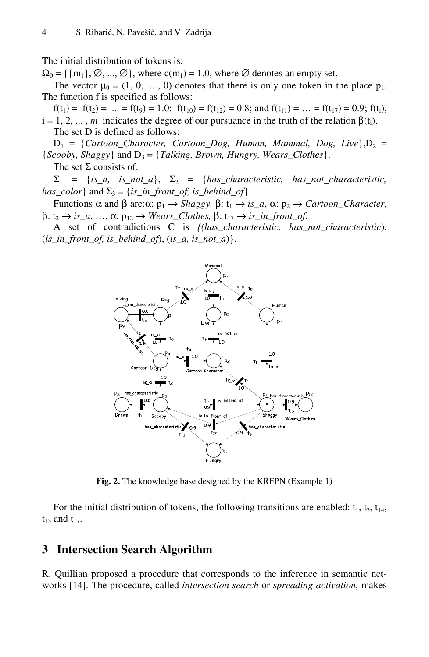The initial distribution of tokens is:

 $\Omega_0 = {\{m_1\}, \emptyset, ..., \emptyset\}}$ , where  $c(m_1) = 1.0$ , where  $\emptyset$  denotes an empty set.

The vector  $\mu_0 = (1, 0, \dots, 0)$  denotes that there is only one token in the place  $p_1$ . The function f is specified as follows:

 $f(t_1) = f(t_2) = ... = f(t_9) = 1.0$ :  $f(t_{10}) = f(t_{12}) = 0.8$ ; and  $f(t_{11}) = ... = f(t_{17}) = 0.9$ ;  $f(t_i)$ ,  $i = 1, 2, \dots, m$  indicates the degree of our pursuance in the truth of the relation  $\beta(t_i)$ . The set D is defined as follows:

 $D_1 = \{Cartoon\_Character, \ \ \text{Cartoon\_Dog, \ \ \text{Human, \ \ } Mammal, \ \ \text{Dog, \ \ } Live \}, D_2 =$  ${Scooby, Shaggy}$  and  $D_3 = {Talking, Brown, Hungary, Wears_Clothes}.$ 

The set  $\Sigma$  consists of:

 $\Sigma_1$  = {*is\_a, is\_not\_a*},  $\Sigma_2$  = {*has\_characteristic, has\_not\_characteristic, has\_color*} and  $\Sigma_3 = \{is\_in\_front\_of, is\_behind\_of\}.$ 

Functions α and β are:α:  $p_1 \rightarrow Shaggy$ , β:  $t_1 \rightarrow is\_a$ , α:  $p_2 \rightarrow \text{Cartoon\_Character}$ ,  $β: t<sub>2</sub> → is a, ..., α: p<sub>12</sub> → *Wears_Clothes*, β: t<sub>17</sub> → is in front_of.$ 

A set of contradictions C is *{(has\_characteristic, has\_not\_characteristic*), (*is\_in\_front\_of, is\_behind\_of*), (*is\_a, is\_not\_a*)}.



**Fig. 2.** The knowledge base designed by the KRFPN (Example 1)

For the initial distribution of tokens, the following transitions are enabled:  $t_1$ ,  $t_3$ ,  $t_{14}$ ,  $t_{15}$  and  $t_{17}$ .

#### **3 Intersection Search Algorithm**

R. Quillian proposed a procedure that corresponds to the inference in semantic networks [14]. The procedure, called *intersection search* or *spreading activation,* makes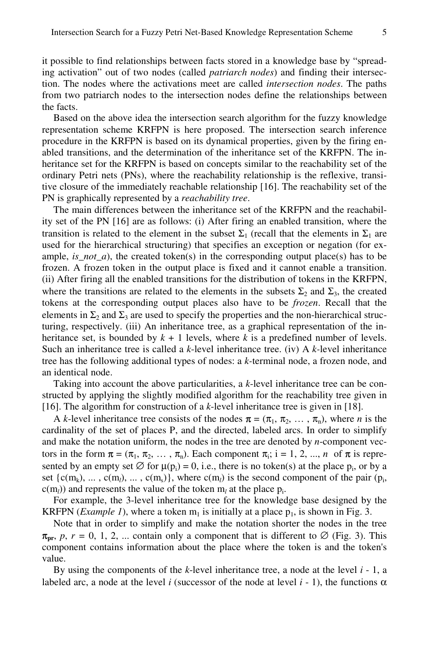it possible to find relationships between facts stored in a knowledge base by "spreading activation" out of two nodes (called *patriarch nodes*) and finding their intersection. The nodes where the activations meet are called *intersection nodes*. The paths from two patriarch nodes to the intersection nodes define the relationships between the facts.

Based on the above idea the intersection search algorithm for the fuzzy knowledge representation scheme KRFPN is here proposed. The intersection search inference procedure in the KRFPN is based on its dynamical properties, given by the firing enabled transitions, and the determination of the inheritance set of the KRFPN. The inheritance set for the KRFPN is based on concepts similar to the reachability set of the ordinary Petri nets (PNs), where the reachability relationship is the reflexive, transitive closure of the immediately reachable relationship [16]. The reachability set of the PN is graphically represented by a *reachability tree*.

The main differences between the inheritance set of the KRFPN and the reachability set of the PN [16] are as follows: (i) After firing an enabled transition, where the transition is related to the element in the subset  $\Sigma_1$  (recall that the elements in  $\Sigma_1$  are used for the hierarchical structuring) that specifies an exception or negation (for example,  $is\_not_a$ ), the created token(s) in the corresponding output place(s) has to be frozen. A frozen token in the output place is fixed and it cannot enable a transition. (ii) After firing all the enabled transitions for the distribution of tokens in the KRFPN, where the transitions are related to the elements in the subsets  $\Sigma_2$  and  $\Sigma_3$ , the created tokens at the corresponding output places also have to be *frozen*. Recall that the elements in  $\Sigma_2$  and  $\Sigma_3$  are used to specify the properties and the non-hierarchical structuring, respectively. (iii) An inheritance tree, as a graphical representation of the inheritance set, is bounded by  $k + 1$  levels, where  $k$  is a predefined number of levels. Such an inheritance tree is called a *k*-level inheritance tree. (iv) A *k-*level inheritance tree has the following additional types of nodes: a *k-*terminal node, a frozen node, and an identical node.

Taking into account the above particularities, a *k*-level inheritance tree can be constructed by applying the slightly modified algorithm for the reachability tree given in [16]. The algorithm for construction of a *k*-level inheritance tree is given in [18].

A *k*-level inheritance tree consists of the nodes  $\pi = (\pi_1, \pi_2, \dots, \pi_n)$ , where *n* is the cardinality of the set of places P, and the directed, labeled arcs. In order to simplify and make the notation uniform, the nodes in the tree are denoted by *n*-component vectors in the form  $\pi = (\pi_1, \pi_2, \ldots, \pi_n)$ . Each component  $\pi_i$ ; i = 1, 2, ..., *n* of  $\pi$  is represented by an empty set  $\emptyset$  for  $\mu(p_i) = 0$ , i.e., there is no token(s) at the place  $p_i$ , or by a set  $\{c(m_k), \ldots, c(m_l), \ldots, c(m_s)\}\$ , where  $c(m_l)$  is the second component of the pair  $(p_i)$ ,  $c(m_l)$ ) and represents the value of the token  $m_l$  at the place  $p_i$ .

For example, the 3-level inheritance tree for the knowledge base designed by the KRFPN (*Example 1*), where a token  $m_1$  is initially at a place  $p_1$ , is shown in Fig. 3.

Note that in order to simplify and make the notation shorter the nodes in the tree  $\pi_{\text{pr}}, p, r = 0, 1, 2, ...$  contain only a component that is different to  $\varnothing$  (Fig. 3). This component contains information about the place where the token is and the token's value.

By using the components of the *k*-level inheritance tree, a node at the level *i* - 1, a labeled arc, a node at the level *i* (successor of the node at level  $i - 1$ ), the functions  $\alpha$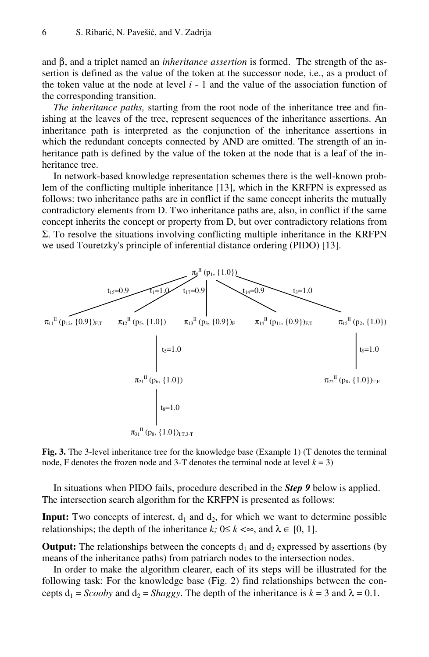and β, and a triplet named an *inheritance assertion* is formed. The strength of the assertion is defined as the value of the token at the successor node, i.e., as a product of the token value at the node at level  $i - 1$  and the value of the association function of the corresponding transition.

*The inheritance paths,* starting from the root node of the inheritance tree and finishing at the leaves of the tree, represent sequences of the inheritance assertions. An inheritance path is interpreted as the conjunction of the inheritance assertions in which the redundant concepts connected by AND are omitted. The strength of an inheritance path is defined by the value of the token at the node that is a leaf of the inheritance tree.

In network-based knowledge representation schemes there is the well-known problem of the conflicting multiple inheritance [13], which in the KRFPN is expressed as follows: two inheritance paths are in conflict if the same concept inherits the mutually contradictory elements from D. Two inheritance paths are, also, in conflict if the same concept inherits the concept or property from D, but over contradictory relations from Σ. To resolve the situations involving conflicting multiple inheritance in the KRFPN we used Touretzky's principle of inferential distance ordering (PIDO) [13].



**Fig. 3.** The 3-level inheritance tree for the knowledge base (Example 1) (T denotes the terminal node, F denotes the frozen node and 3-T denotes the terminal node at level  $k = 3$ )

In situations when PIDO fails, procedure described in the *Step 9* below is applied. The intersection search algorithm for the KRFPN is presented as follows:

**Input:** Two concepts of interest,  $d_1$  and  $d_2$ , for which we want to determine possible relationships; the depth of the inheritance *k*;  $0 \le k \le \infty$ , and  $\lambda \in [0, 1]$ .

**Output:** The relationships between the concepts  $d_1$  and  $d_2$  expressed by assertions (by means of the inheritance paths) from patriarch nodes to the intersection nodes.

In order to make the algorithm clearer, each of its steps will be illustrated for the following task: For the knowledge base (Fig. 2) find relationships between the concepts  $d_1 = Scooby$  and  $d_2 = Shaggy$ . The depth of the inheritance is  $k = 3$  and  $\lambda = 0.1$ .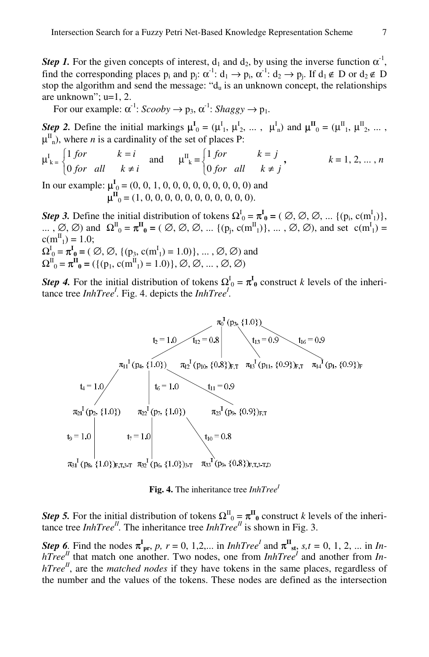*Step 1.* For the given concepts of interest,  $d_1$  and  $d_2$ , by using the inverse function  $\alpha^1$ , find the corresponding places  $p_i$  and  $p_j$ :  $\alpha^{-1}$ :  $d_1 \rightarrow p_i$ ,  $\alpha^{-1}$ :  $d_2 \rightarrow p_j$ . If  $d_1 \notin D$  or  $d_2 \notin D$ stop the algorithm and send the message: " $d_u$  is an unknown concept, the relationships are unknown"; u=1, 2.

For our example:  $\alpha^{-1}$ : *Scooby*  $\rightarrow$  p<sub>3</sub>,  $\alpha^{-1}$ : *Shaggy*  $\rightarrow$  p<sub>1</sub>.

*Step 2.* Define the initial markings  $\mu^I_0 = (\mu^I_1, \mu^I_2, \dots, \mu^I_n)$  and  $\mu^I_0 = (\mu^I_1, \mu^I_2, \dots, \mu^I_n)$  $\mu^{\text{II}}$ <sub>n</sub>), where *n* is a cardinality of the set of places P:

$$
\mu_{k}^{I} = \begin{cases} 1 \text{ for} & k = i \\ 0 \text{ for all } & k \neq i \end{cases} \text{ and } \mu_{k}^{II} = \begin{cases} 1 \text{ for} & k = j \\ 0 \text{ for all } & k \neq j \end{cases}, \quad k = 1, 2, \dots, n
$$

In our example:  $\mu^I_0 = (0, 0, 1, 0, 0, 0, 0, 0, 0, 0, 0, 0)$  and  $\mu^{\text{II}}_0$  = (1, 0, 0, 0, 0, 0, 0, 0, 0, 0, 0, 0).

*Step 3.* Define the initial distribution of tokens  $\Omega_0^I = \pi_0^I = (\emptyset, \emptyset, \emptyset, ... \{(p_i, c(m_1^I)\},\$ ... ,  $\emptyset$ ,  $\emptyset$ ) and  $\Omega_0^{\mathbb{I}} = \pi^{\mathbb{II}}_0 = (\emptyset, \emptyset, \emptyset, ..., \{(p_j, c(m^{\mathbb{I}}_1)\}, ..., \emptyset, \emptyset)$ , and set  $c(m^{\mathbb{I}}_1) =$  $c(m_{1}^{II}) = 1.0;$  $\Omega_0^I = \pi^I_0 = (\emptyset, \emptyset, \{ (p_3, c(m_1^I) = 1.0) \}, \dots, \emptyset, \emptyset)$  and  $\Omega_{0}^{II} = \pi_{0}^{II} = (\{(p_{1}, c(m_{1}^{II}) = 1.0)\}, \emptyset, \emptyset, ..., \emptyset, \emptyset)$ 

*Step 4***.** For the initial distribution of tokens  $\Omega_0^I = \pi_0^I$  construct *k* levels of the inheritance tree *InhTree<sup>1</sup>*. Fig. 4. depicts the *InhTree<sup>1</sup>*.



*Step 5.* For the initial distribution of tokens  $\Omega^{\Pi}{}_{0} = \pi^{\Pi}{}_{0}$  construct *k* levels of the inheritance tree *InhTree<sup>II</sup>*. The inheritance tree *InhTree<sup>II</sup>* is shown in Fig. 3.

*Step 6*. Find the nodes  $\pi^I_{pr}$ , *p*,  $r = 0, 1, 2,...$  in *InhTree<sup>l</sup>* and  $\pi^I_{st}$ ,  $s, t = 0, 1, 2,...$  in *InhTree*<sup>*II*</sup> that match one another. Two nodes, one from *InhTree*<sup>*I*</sup> and another from *InhTree<sup>II</sup>*, are the *matched nodes* if they have tokens in the same places, regardless of the number and the values of the tokens. These nodes are defined as the intersection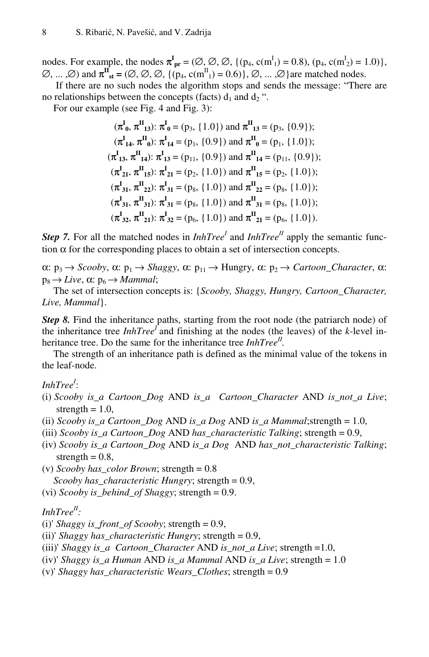nodes. For example, the nodes  $\pi_{pr}^I = (\emptyset, \emptyset, \emptyset, \{ (p_4, c(m_1^I) = 0.8), (p_4, c(m_2^I) = 1.0) \},$  $(\emptyset, ..., \emptyset)$  and  $\pi^{\text{II}}_{\text{st}} = (\emptyset, \emptyset, \emptyset, \{ (p_4, \text{c(m}^{\text{II}}_1) = 0.6) \}, \emptyset, ..., \emptyset \}$  are matched nodes.

 If there are no such nodes the algorithm stops and sends the message: "There are no relationships between the concepts (facts)  $d_1$  and  $d_2$ ".

For our example (see Fig. 4 and Fig. 3):

$$
(\pi_0^I, \pi_1^II, 13): \pi_0^I = (p_3, \{1.0\}) \text{ and } \pi_1^II, 13 = (p_3, \{0.9\});
$$
  
\n
$$
(\pi_1^I, \pi_1^II, 13): \pi_1^I, 14 = (p_1, \{0.9\}) \text{ and } \pi_1^II, 15 = (p_1, \{1.0\});
$$
  
\n
$$
(\pi_1^I, \pi_1^II, 12): \pi_1^I, 13 = (p_{11}, \{0.9\}) \text{ and } \pi_1^II, 14 = (p_{11}, \{0.9\});
$$
  
\n
$$
(\pi_2^I, \pi_1^II, 15): \pi_2^I, 15 = (p_2, \{1.0\}) \text{ and } \pi_1^II, 15 = (p_2, \{1.0\});
$$
  
\n
$$
(\pi_3^I, \pi_3^II, 15): \pi_3^I, 15 = (p_3, \{1.0\}) \text{ and } \pi_3^II, 16 = (p_3, \{1.0\});
$$
  
\n
$$
(\pi_3^I, \pi_3^II, 15): \pi_3^I, 17 = (p_3, \{1.0\}) \text{ and } \pi_3^II, 17 = (p_3, \{1.0\});
$$
  
\n
$$
(\pi_3^I, \pi_3^II, 16): \pi_3^I, 17 = (p_3, \{1.0\}) \text{ and } \pi_3^II, 17 = (p_3, \{1.0\});
$$

*Step 7.* For all the matched nodes in  $InhTree<sup>I</sup>$  and  $InhTree<sup>I</sup>$  apply the semantic function  $\alpha$  for the corresponding places to obtain a set of intersection concepts.

α:  $p_3$  → *Scooby*, α:  $p_1$  → *Shaggy*, α:  $p_{11}$  → Hungry, α:  $p_2$  → *Cartoon\_Character*, α:  $p_8 \rightarrow Live$ ,  $\alpha$ :  $p_6 \rightarrow Mammal$ ;

The set of intersection concepts is: {*Scooby, Shaggy, Hungry, Cartoon\_Character, Live, Mammal*}.

*Step 8.* Find the inheritance paths, starting from the root node (the patriarch node) of the inheritance tree  $InhTree<sup>I</sup>$  and finishing at the nodes (the leaves) of the *k*-level inheritance tree. Do the same for the inheritance tree *InhTree<sup>II</sup>*.

The strength of an inheritance path is defined as the minimal value of the tokens in the leaf-node.

*InhTree<sup>I</sup>* :

- (i) *Scooby is\_a Cartoon\_Dog* AND *is\_a Cartoon\_Character* AND *is\_not\_a Live*; strength  $= 1.0$ ,
- (ii) *Scooby is\_a Cartoon\_Dog* AND *is\_a Dog* AND *is\_a Mammal*;strength = 1.0,
- (iii) *Scooby is\_a Cartoon\_Dog* AND *has\_characteristic Talking*; strength = 0.9,
- (iv) *Scooby is\_a Cartoon\_Dog* AND *is\_a Dog* AND *has\_not\_characteristic Talking*; strength  $= 0.8$ ,

(v) *Scooby has\_color Brown*; strength = 0.8 *Scooby has\_characteristic Hungry*; strength = 0.9,

(vi) *Scooby is\_behind\_of Shaggy*; strength = 0.9.

#### *InhTreeII :*

(i)' *Shaggy is\_front\_of Scooby*; strength = 0.9,

- (ii)' *Shaggy has\_characteristic Hungry*; strength = 0.9,
- (iii)' *Shaggy is\_a Cartoon\_Character* AND *is\_not\_a Live*; strength =1.0,
- (iv)' *Shaggy is\_a Human* AND *is\_a Mammal* AND *is\_a Live*; strength = 1.0
- (v)' *Shaggy has\_characteristic Wears\_Clothes*; strength = 0.9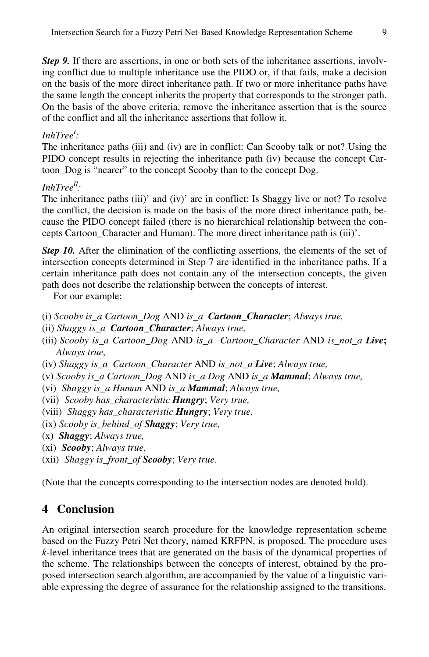*Step 9.* If there are assertions, in one or both sets of the inheritance assertions, involving conflict due to multiple inheritance use the PIDO or, if that fails, make a decision on the basis of the more direct inheritance path. If two or more inheritance paths have the same length the concept inherits the property that corresponds to the stronger path. On the basis of the above criteria, remove the inheritance assertion that is the source of the conflict and all the inheritance assertions that follow it.

### *InhTree<sup>I</sup> :*

The inheritance paths (iii) and (iv) are in conflict: Can Scooby talk or not? Using the PIDO concept results in rejecting the inheritance path (iv) because the concept Cartoon\_Dog is "nearer" to the concept Scooby than to the concept Dog.

# *InhTreeII :*

The inheritance paths (iii)' and (iv)' are in conflict: Is Shaggy live or not? To resolve the conflict, the decision is made on the basis of the more direct inheritance path, because the PIDO concept failed (there is no hierarchical relationship between the concepts Cartoon\_Character and Human). The more direct inheritance path is (iii)'.

*Step 10.* After the elimination of the conflicting assertions, the elements of the set of intersection concepts determined in Step 7 are identified in the inheritance paths. If a certain inheritance path does not contain any of the intersection concepts, the given path does not describe the relationship between the concepts of interest.

For our example:

- (i) *Scooby is\_a Cartoon\_Dog* AND *is\_a Cartoon\_Character*; *Always true,*
- (ii) *Shaggy is\_a Cartoon\_Character*; *Always true,*
- (iii) *Scooby is\_a Cartoon\_Dog* AND *is\_a Cartoon\_Character* AND *is\_not\_a Live***;**  *Always true,*
- (iv) *Shaggy is\_a Cartoon\_Character* AND *is\_not\_a Live*; *Always true,*
- (v) *Scooby is\_a Cartoon\_Dog* AND *is\_a Dog* AND *is\_a Mammal*; *Always true,*
- (vi) *Shaggy is\_a Human* AND *is\_a Mammal*; *Always true,*
- (vii) *Scooby has\_characteristic Hungry*; *Very true,*
- (viii) *Shaggy has\_characteristic Hungry*; *Very true,*
- (ix) *Scooby is\_behind\_of Shaggy*; *Very true,*
- (x) *Shaggy*; *Always true,*
- (xi) *Scooby*; *Always true,*
- (xii) *Shaggy is\_front\_of Scooby*; *Very true.*

(Note that the concepts corresponding to the intersection nodes are denoted bold).

# **4 Conclusion**

An original intersection search procedure for the knowledge representation scheme based on the Fuzzy Petri Net theory, named KRFPN, is proposed. The procedure uses *k*-level inheritance trees that are generated on the basis of the dynamical properties of the scheme. The relationships between the concepts of interest, obtained by the proposed intersection search algorithm, are accompanied by the value of a linguistic variable expressing the degree of assurance for the relationship assigned to the transitions.